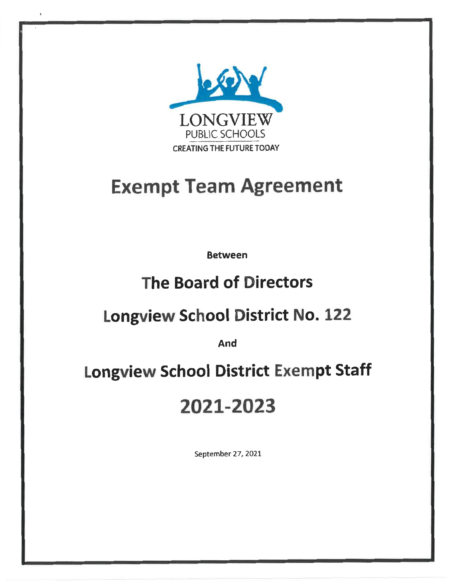

# **Exempt Team Agreement**

**Between** 

# **The Board of Directors**

# **Longview School District No. 122**

And

# **Longview School District Exempt Staff**

# 2021-2023

September 27, 2021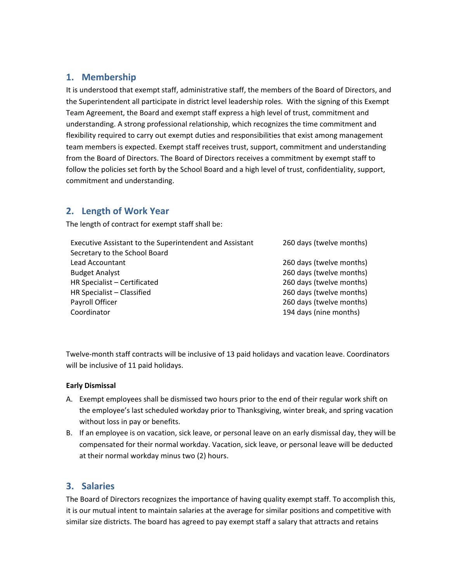## **1. Membership**

It is understood that exempt staff, administrative staff, the members of the Board of Directors, and the Superintendent all participate in district level leadership roles. With the signing of this Exempt Team Agreement, the Board and exempt staff express a high level of trust, commitment and understanding. A strong professional relationship, which recognizes the time commitment and flexibility required to carry out exempt duties and responsibilities that exist among management team members is expected. Exempt staff receives trust, support, commitment and understanding from the Board of Directors. The Board of Directors receives a commitment by exempt staff to follow the policies set forth by the School Board and a high level of trust, confidentiality, support, commitment and understanding.

## **2. Length of Work Year**

The length of contract for exempt staff shall be:

| Executive Assistant to the Superintendent and Assistant | 260 days (twelve months) |  |  |  |  |  |
|---------------------------------------------------------|--------------------------|--|--|--|--|--|
| Secretary to the School Board                           |                          |  |  |  |  |  |
| Lead Accountant                                         | 260 days (twelve months) |  |  |  |  |  |
| <b>Budget Analyst</b>                                   | 260 days (twelve months) |  |  |  |  |  |
| HR Specialist - Certificated                            | 260 days (twelve months) |  |  |  |  |  |
| HR Specialist - Classified                              | 260 days (twelve months) |  |  |  |  |  |
| Payroll Officer                                         | 260 days (twelve months) |  |  |  |  |  |
| Coordinator                                             | 194 days (nine months)   |  |  |  |  |  |

Twelve‐month staff contracts will be inclusive of 13 paid holidays and vacation leave. Coordinators will be inclusive of 11 paid holidays.

#### **Early Dismissal**

- A. Exempt employees shall be dismissed two hours prior to the end of their regular work shift on the employee's last scheduled workday prior to Thanksgiving, winter break, and spring vacation without loss in pay or benefits.
- B. If an employee is on vacation, sick leave, or personal leave on an early dismissal day, they will be compensated for their normal workday. Vacation, sick leave, or personal leave will be deducted at their normal workday minus two (2) hours.

### **3. Salaries**

The Board of Directors recognizes the importance of having quality exempt staff. To accomplish this, it is our mutual intent to maintain salaries at the average for similar positions and competitive with similar size districts. The board has agreed to pay exempt staff a salary that attracts and retains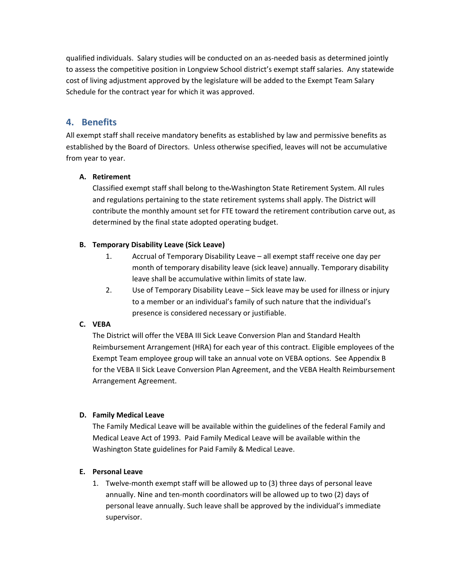qualified individuals. Salary studies will be conducted on an as‐needed basis as determined jointly to assess the competitive position in Longview School district's exempt staff salaries. Any statewide cost of living adjustment approved by the legislature will be added to the Exempt Team Salary Schedule for the contract year for which it was approved.

### **4. Benefits**

All exempt staff shall receive mandatory benefits as established by law and permissive benefits as established by the Board of Directors. Unless otherwise specified, leaves will not be accumulative from year to year.

#### **A. Retirement**

Classified exempt staff shall belong to the Washington State Retirement System. All rules and regulations pertaining to the state retirement systems shall apply. The District will contribute the monthly amount set for FTE toward the retirement contribution carve out, as determined by the final state adopted operating budget.

#### **B. Temporary Disability Leave (Sick Leave)**

- 1. Accrual of Temporary Disability Leave all exempt staff receive one day per month of temporary disability leave (sick leave) annually. Temporary disability leave shall be accumulative within limits of state law.
- 2. Use of Temporary Disability Leave Sick leave may be used for illness or injury to a member or an individual's family of such nature that the individual's presence is considered necessary or justifiable.

#### **C. VEBA**

The District will offer the VEBA III Sick Leave Conversion Plan and Standard Health Reimbursement Arrangement (HRA) for each year of this contract. Eligible employees of the Exempt Team employee group will take an annual vote on VEBA options. See Appendix B for the VEBA II Sick Leave Conversion Plan Agreement, and the VEBA Health Reimbursement Arrangement Agreement.

#### **D. Family Medical Leave**

The Family Medical Leave will be available within the guidelines of the federal Family and Medical Leave Act of 1993. Paid Family Medical Leave will be available within the Washington State guidelines for Paid Family & Medical Leave.

#### **E. Personal Leave**

1. Twelve‐month exempt staff will be allowed up to (3) three days of personal leave annually. Nine and ten‐month coordinators will be allowed up to two (2) days of personal leave annually. Such leave shall be approved by the individual's immediate supervisor.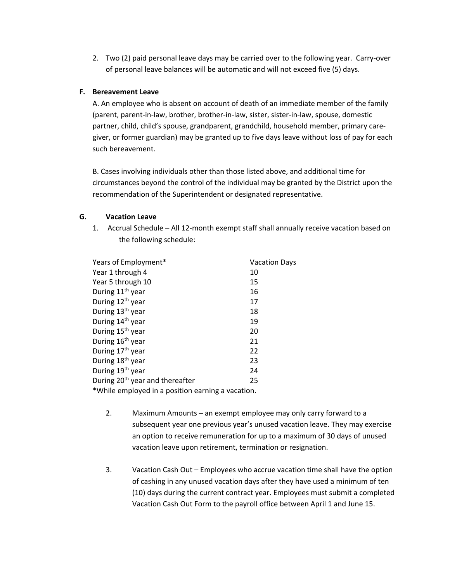2. Two (2) paid personal leave days may be carried over to the following year. Carry‐over of personal leave balances will be automatic and will not exceed five (5) days.

#### **F. Bereavement Leave**

A. An employee who is absent on account of death of an immediate member of the family (parent, parent‐in‐law, brother, brother‐in‐law, sister, sister‐in‐law, spouse, domestic partner, child, child's spouse, grandparent, grandchild, household member, primary care‐ giver, or former guardian) may be granted up to five days leave without loss of pay for each such bereavement.

B. Cases involving individuals other than those listed above, and additional time for circumstances beyond the control of the individual may be granted by the District upon the recommendation of the Superintendent or designated representative.

#### **G. Vacation Leave**

1. Accrual Schedule – All 12‐month exempt staff shall annually receive vacation based on the following schedule:

| Years of Employment*                              | <b>Vacation Days</b> |
|---------------------------------------------------|----------------------|
| Year 1 through 4                                  | 10                   |
| Year 5 through 10                                 | 15                   |
| During 11 <sup>th</sup> year                      | 16                   |
| During 12 <sup>th</sup> year                      | 17                   |
| During 13 <sup>th</sup> year                      | 18                   |
| During 14 <sup>th</sup> year                      | 19                   |
| During 15 <sup>th</sup> year                      | 20                   |
| During 16 <sup>th</sup> year                      | 21                   |
| During 17 <sup>th</sup> year                      | 22                   |
| During 18 <sup>th</sup> year                      | 23                   |
| During 19 <sup>th</sup> year                      | 24                   |
| During 20 <sup>th</sup> year and thereafter       | 25                   |
| *While employed in a position earning a vacation. |                      |

- 2. Maximum Amounts an exempt employee may only carry forward to a subsequent year one previous year's unused vacation leave. They may exercise an option to receive remuneration for up to a maximum of 30 days of unused vacation leave upon retirement, termination or resignation.
- 3. Vacation Cash Out Employees who accrue vacation time shall have the option of cashing in any unused vacation days after they have used a minimum of ten (10) days during the current contract year. Employees must submit a completed Vacation Cash Out Form to the payroll office between April 1 and June 15.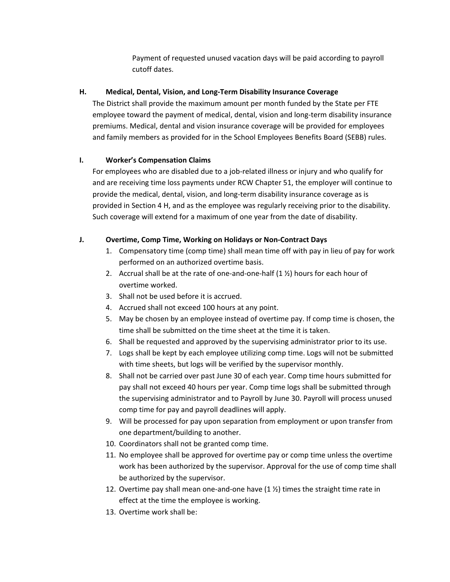Payment of requested unused vacation days will be paid according to payroll cutoff dates.

#### **H. Medical, Dental, Vision, and Long‐Term Disability Insurance Coverage**

The District shall provide the maximum amount per month funded by the State per FTE employee toward the payment of medical, dental, vision and long-term disability insurance premiums. Medical, dental and vision insurance coverage will be provided for employees and family members as provided for in the School Employees Benefits Board (SEBB) rules.

#### **I. Worker's Compensation Claims**

For employees who are disabled due to a job-related illness or injury and who qualify for and are receiving time loss payments under RCW Chapter 51, the employer will continue to provide the medical, dental, vision, and long‐term disability insurance coverage as is provided in Section 4 H, and as the employee was regularly receiving prior to the disability. Such coverage will extend for a maximum of one year from the date of disability.

#### **J. Overtime, Comp Time, Working on Holidays or Non‐Contract Days**

- 1. Compensatory time (comp time) shall mean time off with pay in lieu of pay for work performed on an authorized overtime basis.
- 2. Accrual shall be at the rate of one-and-one-half  $(1 \frac{1}{2})$  hours for each hour of overtime worked.
- 3. Shall not be used before it is accrued.
- 4. Accrued shall not exceed 100 hours at any point.
- 5. May be chosen by an employee instead of overtime pay. If comp time is chosen, the time shall be submitted on the time sheet at the time it is taken.
- 6. Shall be requested and approved by the supervising administrator prior to its use.
- 7. Logs shall be kept by each employee utilizing comp time. Logs will not be submitted with time sheets, but logs will be verified by the supervisor monthly.
- 8. Shall not be carried over past June 30 of each year. Comp time hours submitted for pay shall not exceed 40 hours per year. Comp time logs shall be submitted through the supervising administrator and to Payroll by June 30. Payroll will process unused comp time for pay and payroll deadlines will apply.
- 9. Will be processed for pay upon separation from employment or upon transfer from one department/building to another.
- 10. Coordinators shall not be granted comp time.
- 11. No employee shall be approved for overtime pay or comp time unless the overtime work has been authorized by the supervisor. Approval for the use of comp time shall be authorized by the supervisor.
- 12. Overtime pay shall mean one-and-one have  $(1 \frac{1}{2})$  times the straight time rate in effect at the time the employee is working.
- 13. Overtime work shall be: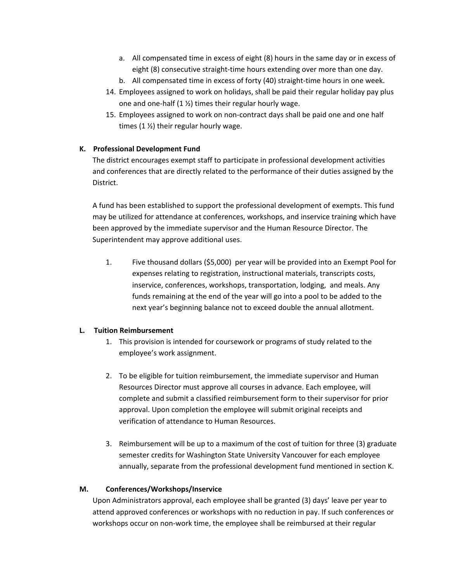- a. All compensated time in excess of eight (8) hours in the same day or in excess of eight (8) consecutive straight-time hours extending over more than one day.
- b. All compensated time in excess of forty (40) straight‐time hours in one week.
- 14. Employees assigned to work on holidays, shall be paid their regular holiday pay plus one and one-half  $(1 \frac{1}{2})$  times their regular hourly wage.
- 15. Employees assigned to work on non‐contract days shall be paid one and one half times (1 ½) their regular hourly wage.

#### **K. Professional Development Fund**

The district encourages exempt staff to participate in professional development activities and conferences that are directly related to the performance of their duties assigned by the District.

A fund has been established to support the professional development of exempts. This fund may be utilized for attendance at conferences, workshops, and inservice training which have been approved by the immediate supervisor and the Human Resource Director. The Superintendent may approve additional uses.

1. Five thousand dollars (\$5,000) per year will be provided into an Exempt Pool for expenses relating to registration, instructional materials, transcripts costs, inservice, conferences, workshops, transportation, lodging, and meals. Any funds remaining at the end of the year will go into a pool to be added to the next year's beginning balance not to exceed double the annual allotment.

#### **L. Tuition Reimbursement**

- 1. This provision is intended for coursework or programs of study related to the employee's work assignment.
- 2. To be eligible for tuition reimbursement, the immediate supervisor and Human Resources Director must approve all courses in advance. Each employee, will complete and submit a classified reimbursement form to their supervisor for prior approval. Upon completion the employee will submit original receipts and verification of attendance to Human Resources.
- 3. Reimbursement will be up to a maximum of the cost of tuition for three (3) graduate semester credits for Washington State University Vancouver for each employee annually, separate from the professional development fund mentioned in section K.

#### **M. Conferences/Workshops/Inservice**

Upon Administrators approval, each employee shall be granted (3) days' leave per year to attend approved conferences or workshops with no reduction in pay. If such conferences or workshops occur on non-work time, the employee shall be reimbursed at their regular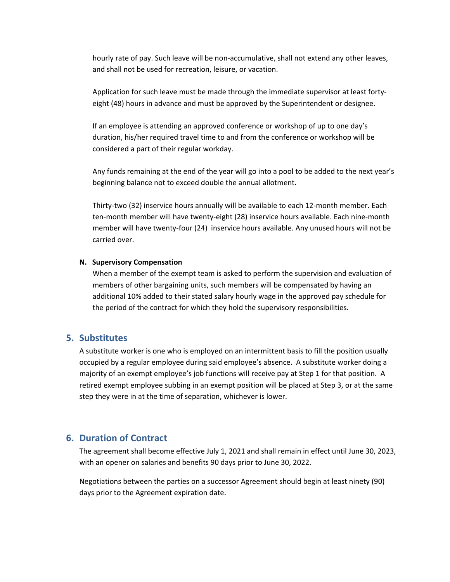hourly rate of pay. Such leave will be non‐accumulative, shall not extend any other leaves, and shall not be used for recreation, leisure, or vacation.

Application for such leave must be made through the immediate supervisor at least forty‐ eight (48) hours in advance and must be approved by the Superintendent or designee.

If an employee is attending an approved conference or workshop of up to one day's duration, his/her required travel time to and from the conference or workshop will be considered a part of their regular workday.

Any funds remaining at the end of the year will go into a pool to be added to the next year's beginning balance not to exceed double the annual allotment.

Thirty‐two (32) inservice hours annually will be available to each 12‐month member. Each ten‐month member will have twenty‐eight (28) inservice hours available. Each nine‐month member will have twenty‐four (24) inservice hours available. Any unused hours will not be carried over.

#### **N. Supervisory Compensation**

When a member of the exempt team is asked to perform the supervision and evaluation of members of other bargaining units, such members will be compensated by having an additional 10% added to their stated salary hourly wage in the approved pay schedule for the period of the contract for which they hold the supervisory responsibilities.

#### **5. Substitutes**

A substitute worker is one who is employed on an intermittent basis to fill the position usually occupied by a regular employee during said employee's absence. A substitute worker doing a majority of an exempt employee's job functions will receive pay at Step 1 for that position. A retired exempt employee subbing in an exempt position will be placed at Step 3, or at the same step they were in at the time of separation, whichever is lower.

#### **6. Duration of Contract**

The agreement shall become effective July 1, 2021 and shall remain in effect until June 30, 2023, with an opener on salaries and benefits 90 days prior to June 30, 2022.

Negotiations between the parties on a successor Agreement should begin at least ninety (90) days prior to the Agreement expiration date.